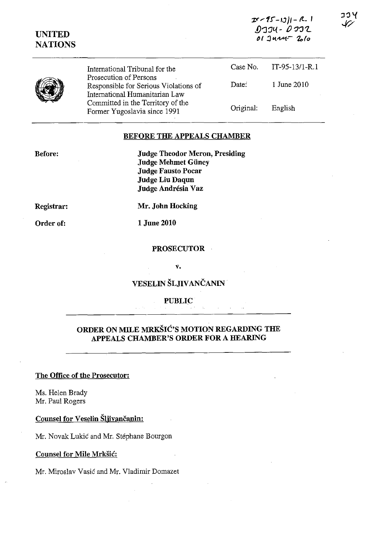| <b>UNITED</b><br><b>NATIONS</b> | International Tribunal for the<br>Prosecution of Persons<br>Responsible for Serious Violations of<br>International Humanitarian Law<br>Committed in the Territory of the<br>Former Yugoslavia since 1991 | $0$ 774 - $0$ 772<br>01 June 2010 |                |
|---------------------------------|----------------------------------------------------------------------------------------------------------------------------------------------------------------------------------------------------------|-----------------------------------|----------------|
|                                 |                                                                                                                                                                                                          | Case No.                          | IT-95-13/1-R.1 |
|                                 |                                                                                                                                                                                                          | Date:                             | 1 June 2010    |
|                                 |                                                                                                                                                                                                          | Original:                         | English        |

#### BEFORE THE APPEALS CHAMBER

Before:

Judge Theodor Meron, Presiding Judge Mehmet Giiney Judge Fausto Pocar Judge Liu Daqun Judge Andrésia Vaz

Registrar:

Order of:

Mr. John Hocking

1 June 2010

#### PROSECUTOR

v.

# VESELIN ŠLJIVANČANIN

### PUBLIC

## ORDER ON MILE MRKSIC'S MOTION REGARDING THE APPEALS CHAMBER'S ORDER FOR A HEARING

#### The Office of the Prosecutor:

Ms. Helen Brady Mr. Paul Rogers

Counsel for Veselin Šljivančanin:

Mr. Novak Lukic and Mr. Stephane Bourgon

#### Counsel for Mile Mrksic:

Mr. Miroslav Vasic and Mr. Vladimir Domazet

 $25 - 101 - R$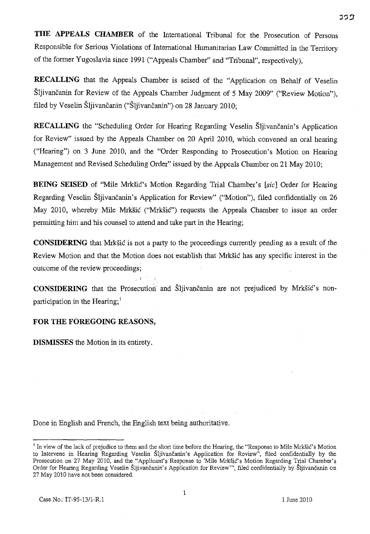**THE APPEALS CHAMBER** of the International Tribunal for the Prosecution of Persons Responsible for Serious Violations of International Humanitarian Law Committed in the Territory of the former Yugoslavia since 1991 ("Appeals Chamber" and "Tribunal", respectively),

**RECALLING** that the Appeals Chamber is seised of the "Application on Behalf of Veselin Sljivančanin for Review of the Appeals Chamber Judgment of 5 May 2009" ("Review Motion"), filed by Veselin Šljivančanin ("Šljivančanin") on 28 January 2010;

**RECALLING** the "Scheduling Order for Hearing Regarding Veselin Sljivancanin's Application for Review" issued by the Appeals Chamber on 20 April 2010, which convened an oral hearing ("Hearing") on 3 June 2010, and the "Order Responding to Prosecution's Motion on Hearing Management and Revised Scheduling Order" issued by the Appeals Chamber on 21 May 2010;

**BEING SEISED** of "Mile Mrkšić's Motion Regarding Trial Chamber's [sic] Order for Hearing Regarding Veselin Sljivancanin's Application for Review" ("Motion"), filed confidentially on 26 May 2010, whereby Mile Mrkšić ("Mrkšić") requests the Appeals Chamber to issue an order permitting him and his counsel to attend and take part in the Hearing;

**CONSIDERING** that Mrksic is not a party to the proceedings currently pending as a result of the Review Motion and that the Motion does not establish that Mrksic has any specific interest in the outcome of the review proceedings;

**CONSIDERING** that the Prosecution and Sljivancanin are not prejudiced by Mrksic's nonparticipation in the Hearing;<sup>1</sup>

## **FOR THE FOREGOING REASONS,**

**DISMISSES** the Motion in its entirety.

Done in English and French, the English text being authoritative.

<sup>&</sup>lt;sup>1</sup> In view of the lack of prejudice to them and the short time before the Hearing, the "Response to Mile Mrkšić's Motion to Intervene in Hearing Regarding Veselin Šljivančanin's Application for Review", filed confidentially by the Prosecution on 27 May 2010, and the "Applicant's Response to 'Mile Mrksic's Motion Regarding Trial Chamber's Order for Hearing Regarding Veselin Sljivančanin's Application for Review''', filed confidentially by Sljivančanin on 27 May 2010 have not been considered.